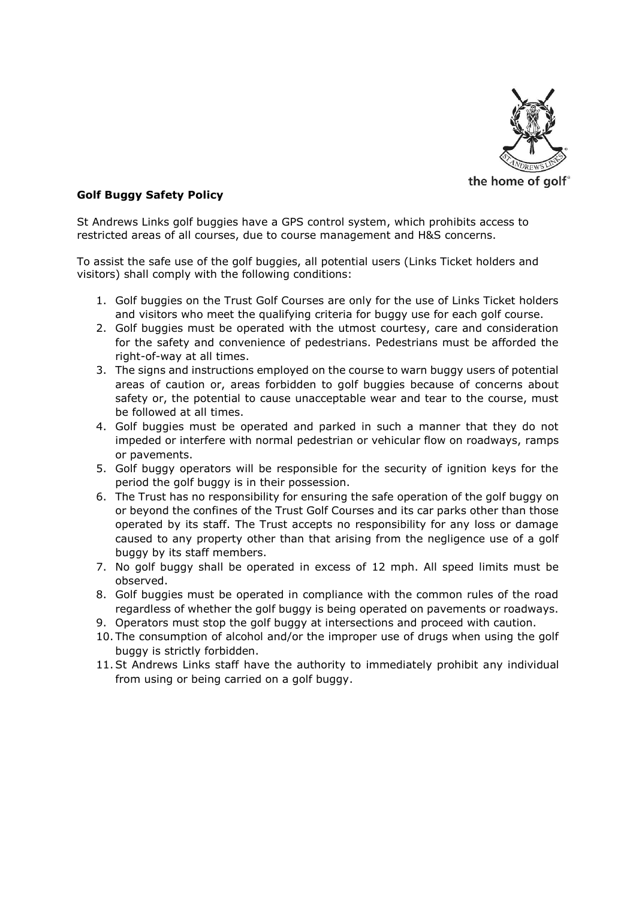

## **Golf Buggy Safety Policy**

St Andrews Links golf buggies have a GPS control system, which prohibits access to restricted areas of all courses, due to course management and H&S concerns.

To assist the safe use of the golf buggies, all potential users (Links Ticket holders and visitors) shall comply with the following conditions:

- 1. Golf buggies on the Trust Golf Courses are only for the use of Links Ticket holders and visitors who meet the qualifying criteria for buggy use for each golf course.
- 2. Golf buggies must be operated with the utmost courtesy, care and consideration for the safety and convenience of pedestrians. Pedestrians must be afforded the right-of-way at all times.
- 3. The signs and instructions employed on the course to warn buggy users of potential areas of caution or, areas forbidden to golf buggies because of concerns about safety or, the potential to cause unacceptable wear and tear to the course, must be followed at all times.
- 4. Golf buggies must be operated and parked in such a manner that they do not impeded or interfere with normal pedestrian or vehicular flow on roadways, ramps or pavements.
- 5. Golf buggy operators will be responsible for the security of ignition keys for the period the golf buggy is in their possession.
- 6. The Trust has no responsibility for ensuring the safe operation of the golf buggy on or beyond the confines of the Trust Golf Courses and its car parks other than those operated by its staff. The Trust accepts no responsibility for any loss or damage caused to any property other than that arising from the negligence use of a golf buggy by its staff members.
- 7. No golf buggy shall be operated in excess of 12 mph. All speed limits must be observed.
- 8. Golf buggies must be operated in compliance with the common rules of the road regardless of whether the golf buggy is being operated on pavements or roadways.
- 9. Operators must stop the golf buggy at intersections and proceed with caution.
- 10. The consumption of alcohol and/or the improper use of drugs when using the golf buggy is strictly forbidden.
- 11.St Andrews Links staff have the authority to immediately prohibit any individual from using or being carried on a golf buggy.